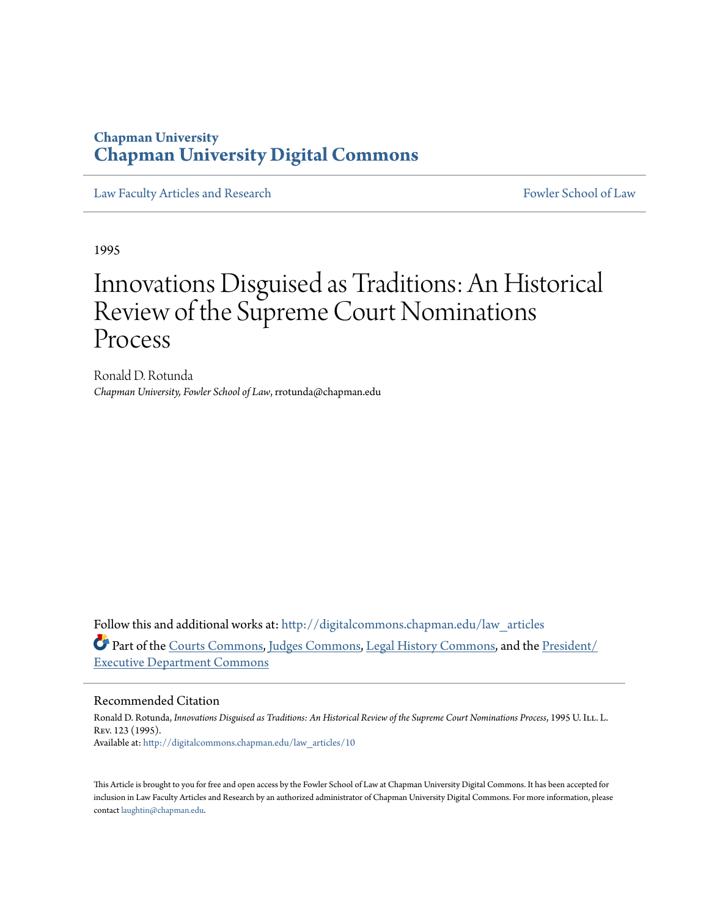### **Chapman University [Chapman University Digital Commons](http://digitalcommons.chapman.edu?utm_source=digitalcommons.chapman.edu%2Flaw_articles%2F10&utm_medium=PDF&utm_campaign=PDFCoverPages)**

[Law Faculty Articles and Research](http://digitalcommons.chapman.edu/law_articles?utm_source=digitalcommons.chapman.edu%2Flaw_articles%2F10&utm_medium=PDF&utm_campaign=PDFCoverPages) [Fowler School of Law](http://digitalcommons.chapman.edu/fowlerlaw?utm_source=digitalcommons.chapman.edu%2Flaw_articles%2F10&utm_medium=PDF&utm_campaign=PDFCoverPages)

1995

# Innovations Disguised as Traditions: An Historical Review of the Supreme Court Nominations Process

Ronald D. Rotunda *Chapman University, Fowler School of Law*, rrotunda@chapman.edu

Follow this and additional works at: [http://digitalcommons.chapman.edu/law\\_articles](http://digitalcommons.chapman.edu/law_articles?utm_source=digitalcommons.chapman.edu%2Flaw_articles%2F10&utm_medium=PDF&utm_campaign=PDFCoverPages) Part of the [Courts Commons](http://network.bepress.com/hgg/discipline/839?utm_source=digitalcommons.chapman.edu%2Flaw_articles%2F10&utm_medium=PDF&utm_campaign=PDFCoverPages), [Judges Commons,](http://network.bepress.com/hgg/discipline/849?utm_source=digitalcommons.chapman.edu%2Flaw_articles%2F10&utm_medium=PDF&utm_campaign=PDFCoverPages) [Legal History Commons,](http://network.bepress.com/hgg/discipline/904?utm_source=digitalcommons.chapman.edu%2Flaw_articles%2F10&utm_medium=PDF&utm_campaign=PDFCoverPages) and the [President/](http://network.bepress.com/hgg/discipline/1118?utm_source=digitalcommons.chapman.edu%2Flaw_articles%2F10&utm_medium=PDF&utm_campaign=PDFCoverPages) [Executive Department Commons](http://network.bepress.com/hgg/discipline/1118?utm_source=digitalcommons.chapman.edu%2Flaw_articles%2F10&utm_medium=PDF&utm_campaign=PDFCoverPages)

#### Recommended Citation

Ronald D. Rotunda, *Innovations Disguised as Traditions: An Historical Review of the Supreme Court Nominations Process*, 1995 U. Ill. L. Rev. 123 (1995). Available at: [http://digitalcommons.chapman.edu/law\\_articles/10](http://digitalcommons.chapman.edu/law_articles/10?utm_source=digitalcommons.chapman.edu%2Flaw_articles%2F10&utm_medium=PDF&utm_campaign=PDFCoverPages)

This Article is brought to you for free and open access by the Fowler School of Law at Chapman University Digital Commons. It has been accepted for inclusion in Law Faculty Articles and Research by an authorized administrator of Chapman University Digital Commons. For more information, please contact [laughtin@chapman.edu](mailto:laughtin@chapman.edu).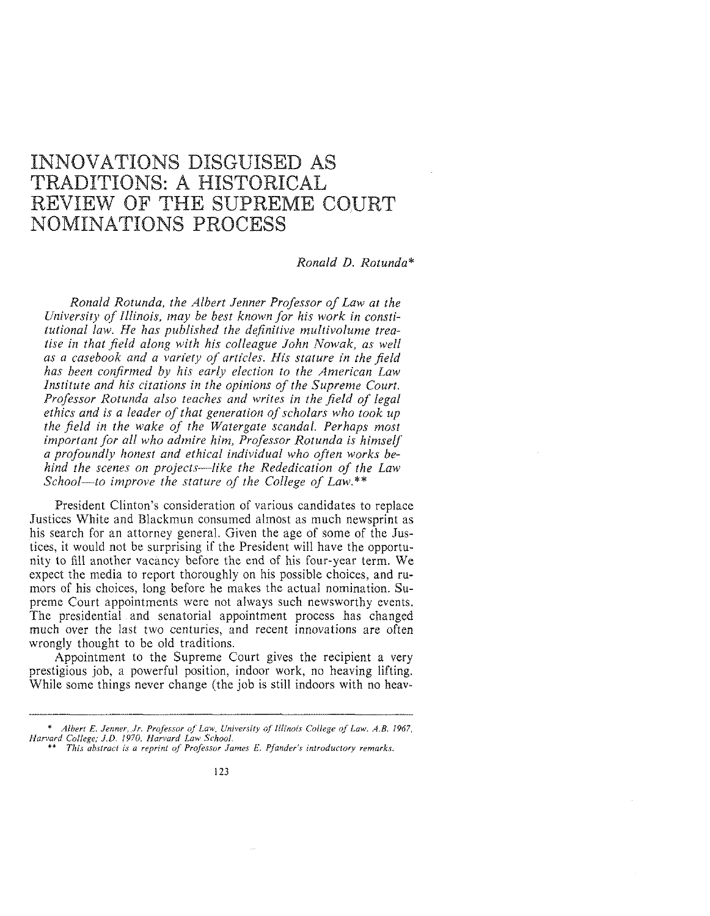## INNOVATIONS DISGUISED AS TRADITIONS: A HISTORICAL REVIEW OF THE SUPREME COURT NOMINATIONS PROCESS

#### *Ronald D. Rotunda\**

*Ronald Rotunda, the Albert Jenner Professor of Law at the University of Illinois, may be best known for his work in constitutional law. He has published the definitive multivolume treatise in that field along with his colleague John Nowak, as well as a casebook and a variety of articles. His stature in the field has been confirmed by his early election to the American Law Institute and his citations in the opinions of the Supreme Court. Professor Rotunda also teaches and writes in the field of legal ethics and is a leader of that generation of scholars who took up the field in the wake of the Watergate scandal. Perhaps most important for all who admire him, Professor Rotunda is himself a profoundly honest and ethical individual who often works behind the scenes on projects-like the Rededication of the Law School-to improve the stature of the College of Law.\*\** 

President Clinton's consideration of various candidates to replace Justices White and Blackmun consumed almost as much newsprint as his search for an attorney general. Given the age of some of the Justices, it would not be surprising if the President will have the opportunity to fill another vacancy before the end of his four-year term. We expect the media to report thoroughly on his possible choices, and rumors of his choices, long before he makes the actual nomination. Supreme Court appointments were not always such newsworthy events. The presidential and senatorial appointment process has changed much over the last two centuries, and recent innovations are often wrongly thought to be old traditions.

Appointment to the Supreme Court gives the recipient a very prestigious job, a powerful position, indoor work, no heaving lifting. While some things never change (the job is still indoors with no heav-

<sup>\*</sup> *Albert E. Jenner, Jr. Professor of Law, University of Illinois College of Law. A.B. 1967, Harvard College; J.D. !970, Harvard Law School.* 

<sup>\*\*</sup> *This abstract is a reprint of Professor James E. Pfander's introductory remarks.*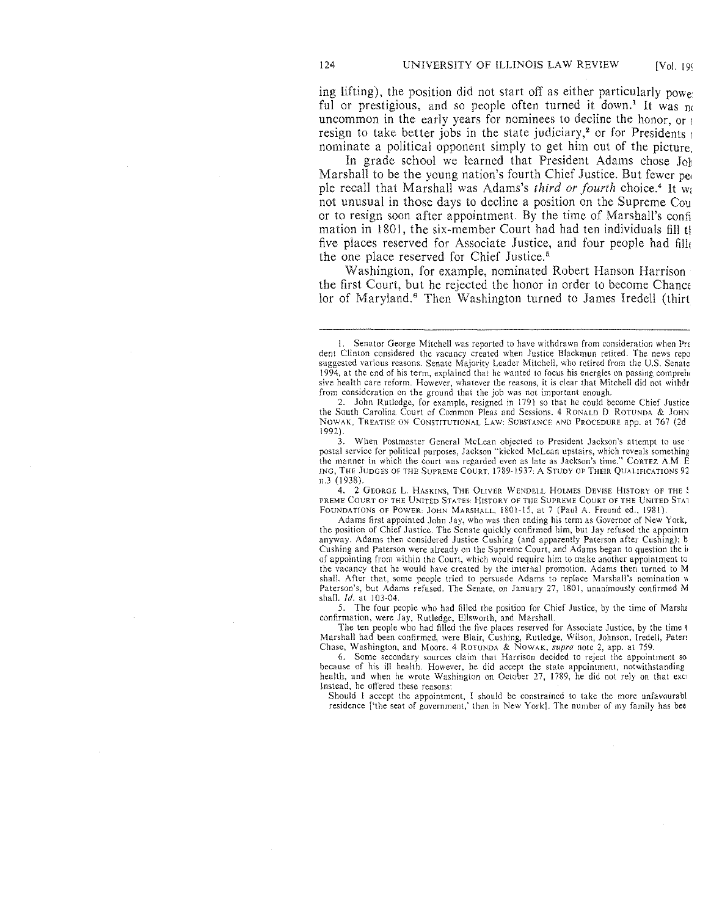ing lifting), the position did not start off as either particularly powe ful or prestigious, and so people often turned it down.<sup>1</sup> It was  $n \in \mathbb{R}$ uncommon in the early years for nominees to decline the honor, or 1 resign to take better jobs in the state judiciary,<sup>2</sup> or for Presidents  $_1$ nominate a political opponent simply to get him out of the picture.

In grade school we learned that President Adams chose John Marshall to be the young nation's fourth Chief Justice. But fewer per ple recall that Marshall was Adams's *third or fourth* choice.<sup>4</sup> It w<sub>i</sub> not unusual in those days to decline a position on the Supreme Cou or to resign soon after appointment. By the time of Marshall's confi mation in 1801, the six-member Court had had ten individuals fill the five places reserved for Associate Justice, and four people had fill< the one place reserved for Chief Justice.'

Washington, for example, nominated Robert Hanson Harrison the first Court, but he rejected the honor in order to become Chance lor of Maryland.<sup>6</sup> Then Washington turned to James Iredell (thirt

3. When Postmaster General McLean objected to President Jackson's attempt to use postal service for political purposes, Jackson "kicked McLean upstairs, which reveals something the manner in which the court was regarded even as late as Jackson's time." CoRTEZ AM E ING, THE JUDGES OF THE SUPREME COURT. 1789-1937: A STUDY OF THEIR QUALIFICATIONS 92 n.3 (1938).

4. 2 GEORGE L. HASKINS, THE OLIVER WENDELL HOLMES DEVISE HISTORY OF THE : PREME COURT OF THE UNITED STATES: HISTORY OF THE SUPREME COURT OF THE UNITED STAL FOUNDATIONS OF POWER: JOHN MARSHALL, !801-15, at 7 (Paul A. Freund cd., !98!).

Adams first appointed John Jay, who was then ending his term as Governor of New York, the position of Chief Justice. The Senate quickly confirmed him, but Jay refused the appointm anyway. Adams then considered Justice Cushing (and apparently Paterson after Cushing); b Cushing and Paterson were already on the Supreme Court, and Adams began to question the i+ of appointing from within the Court, which would require him to make another appointment to the vacancy that he would have created by the internal promotion. Adams then turned to M shall. After that, some people tried to persuade Adams to replace Marshall's nomination w Paterson's, but Adams refused. The Senate, on January 27, 1801, unanimously confirmed M shall. *!d.* at 103-04.

5. The four people who had filled the position for Chief Justice, by the time of Marsha confirmation, were Jay, Rutledge, Ellsworth, and Marshall.

The ten people who had filled the five places reserved for Associate Justice, by the timet Marshall had been confirmed, were Blair, Cushing, Rutledge, Wilson, Johnson, Iredell, Paten Chase, Washington, and Moore. 4 ROTUNDA & NOWAK, *supra* note 2, app. at 759.

6. Some secondary sources claim that Harrison decided to reject the appointment so because of his ill health. However, he did accept the state appointment, notwithstanding health, and when he wrote Washington on October 27, 1789, he did not rely on that exci-Instead, he offered these reasons:

Should I accept the appointment, I should be constrained to take the more unfavourabl residence ['the seat of government,' then in New York]. The number of my family has bee

<sup>1.</sup> Senator George Mitchell was reported to have withdrawn from consideration when Pre dent Clinton considered the vacancy created when Justice Blackmun retired. The news repo suggested various reasons. Senate Majority Leader Mitchell, who retired from the U.S. Senate 1994, at the end of his term, explained that he wanted to focus his energies on passing comprehent sive health care reform. However, whatever the reasons, it is dear that Mitchell did not withdr from consideration on the ground that the job was not important enough.

<sup>2.</sup> John Rutledge, for example, resigned in 1791 so that he could become Chief Justice the South Carolina Court of Common Pleas and Sessions. 4 RONALD D RoTUNDA & JOHN NOWAK, TREATISE ON CONSTITUTIONAL LAW. SUBSTANCE AND PROCEDURE app. at 767 (2d 1992).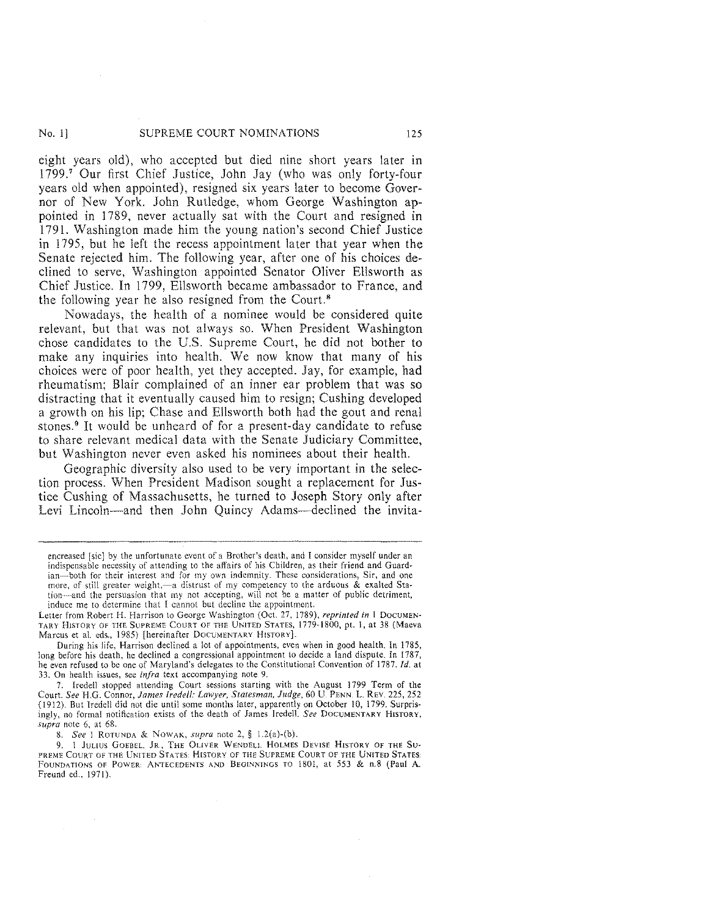#### No. 1] SUPREME COURT NOMINATIONS 125

eight years old), who accepted but died nine short years later in 1799.7 Our first Chief Justice, John Jay (who was only forty-four years old when appointed), resigned six years later to become Governor of New York. John Rutledge, whom George Washington appointed in 1789, never actually sat with the Court and resigned in 1791. Washington made him the young nation's second Chief Justice in 1795, but he left the recess appointment later that year when the Senate rejected him. The following year, after one of his choices declined to serve, Washington appointed Senator Oliver Ellsworth as Chief Justice. In 1799, Ellsworth became ambassador to France, and the following year he also resigned from the Court. 8

Nowadays, the health of a nominee would be considered quite relevant, but that was not always so. When President Washington chose candidates to the U.S. Supreme Court, he did not bother to make any inquiries into health. We now know that many of his choices were of poor health, yet they accepted. Jay, for example, had rheumatism; Blair complained of an inner ear problem that was so distracting that it eventually caused him to resign; Cushing developed a growth on his lip; Chase and Ellsworth both had the gout and renal stones.<sup>9</sup> It would be unheard of for a present-day candidate to refuse to share relevant medical data with the Senate Judiciary Committee, but Washington never even asked his nominees about their health.

Geographic diversity also used to be very important in the selection process. When President Madison sought a replacement for Justice Cushing of Massachusetts, he turned to Joseph Story only after Levi Lincoln—and then John Quincy Adams—declined the invita-

Letter from Robert H. Harrison to George Washington (Oct. 27, 1789), *reprinted in* 1 Documen-TARY HISTORY OF THE SUPREME COURT OF THE UNITED STATES, 1779-1800, pt. 1, at 38 (Maeva Marcus et al. eds., 1985) [hereinafter DOCUMENTARY HISTORY]

During his life, Harrison declined a lot of appointments, even when in good health. In 1785, long before his death, he declined a congressional appointment to decide a land dispute. In 1787, he even refused to be one of Maryland's delegates to the Constitutional Convention of 1787. *!d.* at 33. On health issues, see *infra* text accompanying note 9.

7. Iredell stopped attending Court sessions starting with the August 1799 Term of the Court. *See* H.G. Connor, *James Iredell: Lawyer, Statesman, Judge,* 60 U PENN. L REV. 225, 252 (1912). But Iredell did not die until some months later, apparently on October 10, 1799. Surprisingly, no formal notification exists of the death of James Iredell. See DOCUMENTARY HISTORY, *supra* note 6, at 68.

8. *See* 1 ROTUNDA & NOWAK, *supra* note 2, § l.2(a)-(b).

9. 1 JULIUS GOEBEL, JR., THE OLIVER WENDELL HOLMES DEVISE HISTORY OF THE SU-PREME COURT OF THE UNITED STATES: HISTORY OF THE SUPREME COURT OF THE UNITED STATES: FOUNDATIONS OF POWER: ANTECEDENTS AND BEGINNINGS TO 1801, at 553 & n.8 (Paul A. Freund ed., 1971).

encreased [sic] by the unfortunate event of a Brother's death, and I consider myself under an indispensable necessity of attending to the affairs of his Children, as their friend and Guard~ ian-both for their interest and for my own indemnity. These considerations, Sir, and one more, of still greater weight,-a distrust of my competency to the arduous & exalted Station—and the persuasion that my not accepting, will not be a matter of public detriment, induce me to determine that I cannot but decline the appointment.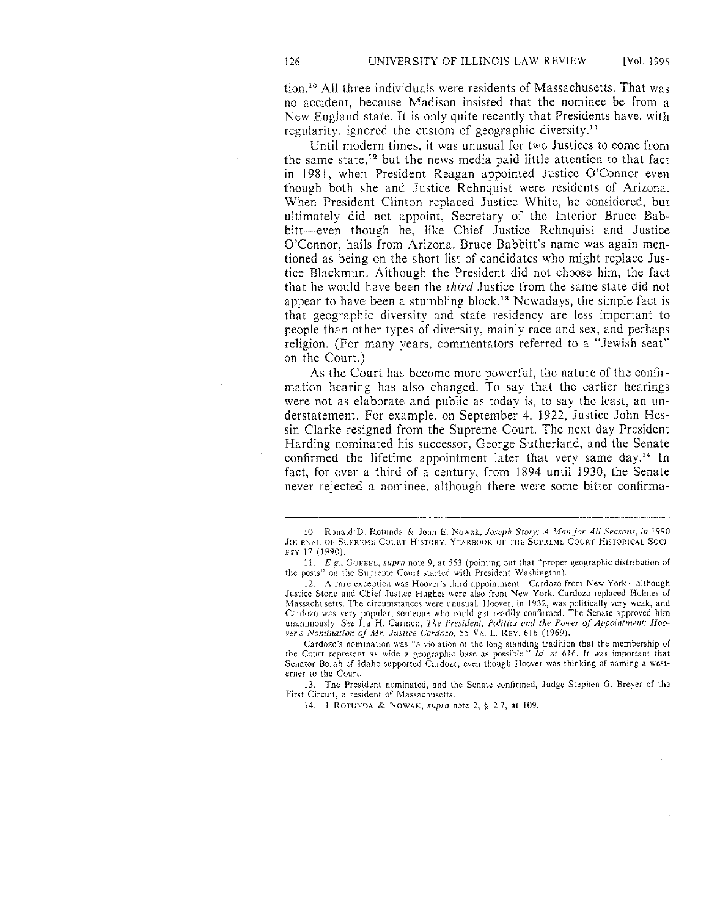tion. 10 All three individuals were residents of Massachusetts. That was no accident, because Madison insisted that the nominee be from a New England state. It is only quite recently that Presidents have, with regularity, ignored the custom of geographic diversity.<sup>11</sup>

Until modern times, it was unusual for two Justices to come from the same state, 12 but the news media paid little attention to that fact in 1981, when President Reagan appointed Justice O'Connor even though both she and Justice Rehnquist were residents of Arizona. When President Clinton replaced Justice White, he considered, but ultimately did not appoint, Secretary of the Interior Bruce Babbitt-even though he, like Chief Justice Rehnquist and Justice O'Connor, hails from Arizona. Bruce Babbitt's name was again mentioned as being on the short list of candidates who might replace Justice Blackmun. Although the President did not choose him, the fact that he would have been the *third* Justice from the same state did not appear to have been a stumbling block.<sup>13</sup> Nowadays, the simple fact is that geographic diversity and state residency are less important to people than other types of diversity, mainly race and sex, and perhaps religion. (For many years, commentators referred to a "Jewish seat" on the Court.)

As the Court has become more powerful, the nature of the confirmation hearing has also changed. To say that the earlier hearings were not as elaborate and public as today is, to say the least, an understatement. For example, on September 4, 1922, Justice John Hessin Clarke resigned from the Supreme Court. The next day President Harding nominated his successor, George Sutherland, and the Senate confirmed the lifetime appointment later that very same day.<sup>14</sup> In fact, for over a third of a century, from 1894 until 1930, the Senate never rejected a nominee, although there were some bitter confirma-

11. *E.g.,* GOEBEL, *supra* note 9, at 553 (pointing out that "proper geographic distribution of the posts" on the Supreme Court started with President Washington).

12. A rare exception was Hoover's third appointment-Cardozo from New York-although Justice Stone and Chief Justice Hughes were also from New York. Cardozo replaced Holmes of Massachusetts. The circumstances were unusual. Hoover, in 1932, was politically very weak, and Cardozo was very popular, someone who could get readily confirmed. The Senate approved him unanimously. *See* Ira H. Carmen, *The President, Politics and the Power of Appointment: Hoo*ver's Nomination of Mr. Justice Cardozo, 55 VA. L. REV. 616 (1969).

Cardozo's nomination was "a violation of the long standing tradition that the membership of the Court represent as wide a geographic base as possible." *!d.* at 6!6. It was important that Senator Borah of Idaho supported Cardozo, even though Hoover was thinking of naming a westerner to the Court.

13. The President nominated, and the Senate confirmed, Judge Stephen G. Breyer of the First Circuit, a resident of Massachusetts.

14. 1 ROTUNDA & NOWAK, *supra* note 2, § 2.7, at 109.

<sup>10.</sup> Ronald D. Rotunda & John E. Nowak, *Joseph Story: A Man for All Seasons, in* !990 JOURNAL OF SUPREME COURT HISTORY: YEARBOOK OF THE SUPREME COURT HISTORICAL SOCI-ETY 17 (1990).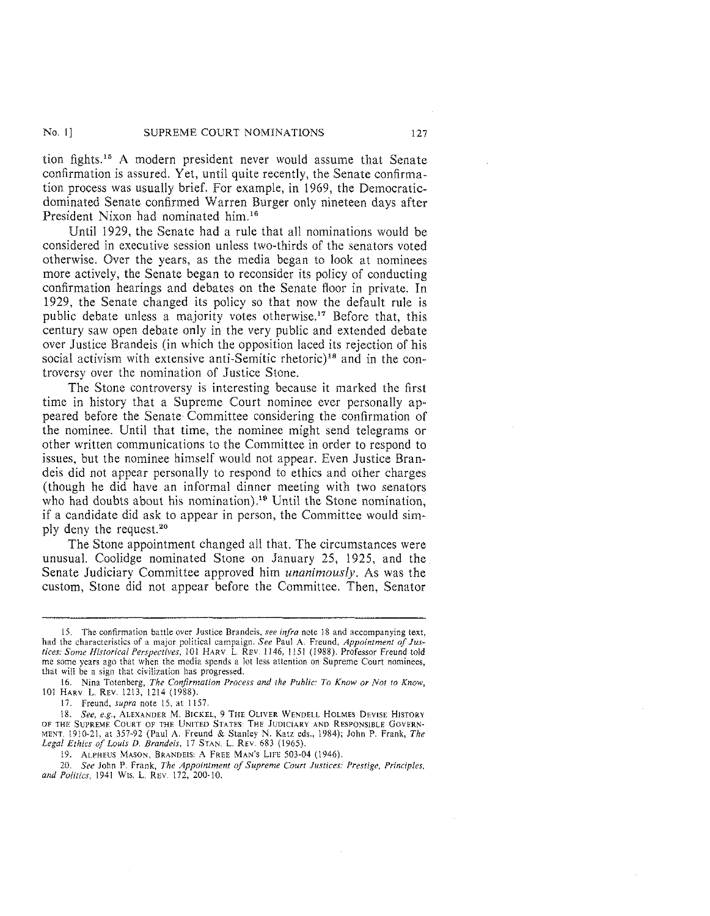#### No. 1] SUPREME COURT NOMINATIONS 127

tion fights.<sup>15</sup> A modern president never would assume that Senate confirmation is assured. Yet, until quite recently, the Senate confirmation process was usually brief. For example, in 1969, the Democraticdominated Senate confirmed Warren Burger only nineteen days after President Nixon had nominated him.<sup>16</sup>

Until 1929, the Senate had a rule that all nominations would be considered in executive session unless two-thirds of the senators voted otherwise. Over the years, as the media began to look at nominees more actively, the Senate began to reconsider its policy of conducting confirmation hearings and debates on the Senate floor in private. In 1929, the Senate changed its policy so that now the default rule is public debate unless a majority votes otherwise.<sup>17</sup> Before that, this century saw open debate only in the very public and extended debate over Justice Brandeis (in which the opposition laced its rejection of his social activism with extensive anti-Semitic rhetoric)<sup>18</sup> and in the controversy over the nomination of Justice Stone.

The Stone controversy is interesting because it marked the first time in history that a Supreme Court nominee ever personally appeared before the Senate Committee considering the confirmation of the nominee. Until that time, the nominee might send telegrams or other written communications to the Committee in order to respond to issues, but the nominee himself would not appear. Even Justice Brandeis did not appear personally to respond to ethics and other charges (though he did have an informal dinner meeting with two senators who had doubts about his nomination).<sup>19</sup> Until the Stone nomination, if a candidate did ask to appear in person, the Committee would simply deny the request.<sup>20</sup>

The Stone appointment changed all that. The circumstances were unusual. Coolidge nominated Stone on January 25, 1925, and the Senate Judiciary Committee approved him *unanimously.* As was the custom, Stone did not appear before the Committee. Then, Senator

17. Freund, *supra* note 15, at 1157.

18. *See, e.g.,* ALEXANDER M. BICKEL, 9 THE OLIVER WENDELL HOLMES DEVISE HISTORY OF THE SUPREME COCRT OF THE UNITED STATES: THE JUDICIARY AND RESPONSIBLE GOVERN-MENT. 1910-21, at 357-92 (Paul A. Freund & Stanley N. Katz eds., 1984); John P. Frank, *The Legal Ethics of Louis D. Brandeis,* 17 STAN\_ L REV. 683 (1965).

19. ALPHEUS MASON, BRANDEIS: A FREE MAN'S LIFE 503-04 (1946).

20. *See* John P. Frank, *The Appointment of Supreme Court Justices: Prestige, Principles, and Politics,* 1941 WIS. L. REV. 172, 200-10.

<sup>15.</sup> The confirmation battle over Justice Brandeis, *see infra* note 18 and accompanying text, had the characteristics of a major political campaign. See Paul A. Freund, *Appointment of Justices: Some Historical Perspectives,* 101 HARV L. REV. 1146, 1151 (1988). Professor Freund told me some years ago that when the media spends a lot less attention on Supreme Court nominees, that will be a sign that civilization has progressed.

<sup>16.</sup> Nina Totenberg, *The Confirmation Process and the Public: To Know or Not to Know,*  101 HARV L REV 1213, 1214 (1988).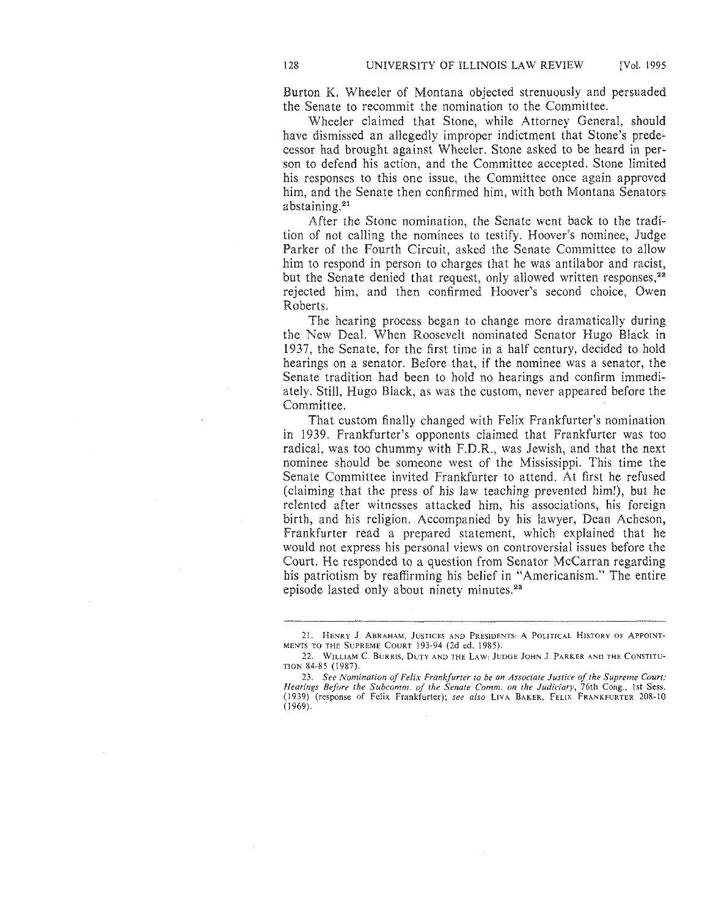Burton K. Wheeler of Montana objected strenuously and persuaded the Senate to recommit the nomination to the Committee.

Wheeler claimed that Stone, while Attorney General, should have dismissed an allegedly improper indictment that Stone's predecessor had brought against Wheeler. Stone asked to be heard in person to defend his action, and the Committee accepted. Stone limited his responses to this one issue, the Committee once again approved him, and the Senate then confirmed him, with both Montana Senators abstaining.<sup>21</sup>

After the Stone nomination, the Senate went back to the tradition of not calling the nominees to testify. Hoover's nominee, Judge Parker of the Fourth Circuit, asked the Senate Committee to allow him to respond in person to charges that he was antilabor and racist, but the Senate denied that request, only allowed written responses,<sup>22</sup> rejected him, and then confirmed Hoover's second choice, Owen Roberts.

The hearing process began to change more dramatically during the New Deal. When Roosevelt nominated Senator Hugo Black in 1937, the Senate, for the first time in a half century, decided to hold hearings on a senator. Before that, if the nominee was a senator, the Senate tradition had been to hold no hearings and confirm immediately. Still, Hugo Black, as was the custom, never appeared before the Committee.

That custom finally changed with Felix Frankfurter's nomination in 1939. Frankfurter's opponents claimed that Frankfurter was too radical, was too chummy with F.D.R., was Jewish, and that the next nominee should be someone west of the Mississippi. This time the Senate Committee invited Frankfurter to attend. At first he refused (claiming that the press of his law teaching prevented him!), but he relented after witnesses attacked him, his associations, his foreign birth, and his religion. Accompanied by his lawyer, Dean Acheson, Frankfurter read a prepared statement, which explained that he would not express his personal views on controversial issues before the Court. He responded to a question from Senator McCarran regarding his patriotism by reaffirming his belief in "Americanism." The entire episode lasted only about ninety minutes.<sup>23</sup>

<sup>21.</sup> HENRY J. ABRAHAM, JUSTICES AND PRESIDENTS: A POLITICAL HISTORY OF APPOINT· MENTS TO THE SUPREME COURT 193-94 (2d ed. 1985).

<sup>22.</sup> WILLIAM C. BURRIS, DUTY AND THE LAW: JUDGE JOHN J. PARKER AND THE CONSTITU-TION 84-85 (1987).

<sup>23.</sup> *See Nomination of Felix Frankfurter to be an Associate Justice of the Supreme Court: Hearings Before the Subcomm. of the Senate Comm. on the Judiciary*, 76th Cong., 1st Sess.<br>(1939) (response of Felix Frankfurter); *see also LIVA BAKER, FELIX FRANKFURTER 208-10* (1969).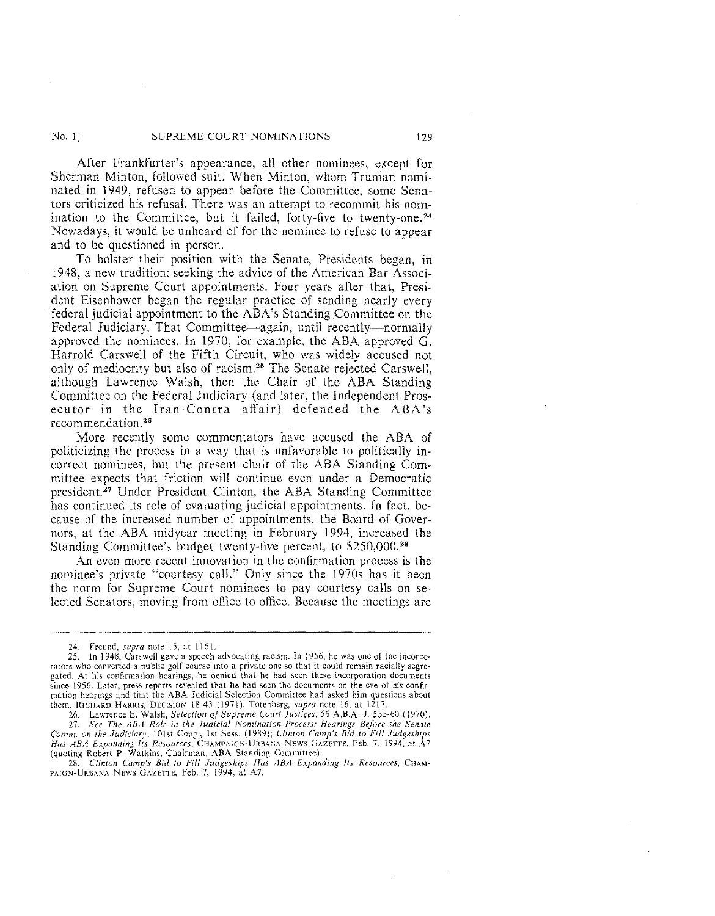#### No. I] SUPREME COURT NOMINATIONS 129

After Frankfurter's appearance, all other nominees, except for Sherman Minton, followed suit. When Minton, whom Truman nominated in 1949, refused to appear before the Committee, some Senators criticized his refusal. There was an attempt to recommit his nomination to the Committee, but it failed, forty-five to twenty-one.<sup>24</sup> Nowadays, it would be unheard of for the nominee to refuse to appear and to be questioned in person.

To bolster their position with the Senate, Presidents began, in 1948, a new tradition: seeking the advice of the American Bar Association on Supreme Court appointments. Four years after that, President Eisenhower began the regular practice of sending nearly every federal judicial appointment to the ABA's Standing Committee on the Federal Judiciary. That Committee—again, until recently—normally approved the nominees. In 1970, for example, the ABA approved G. Harrold Carswell of the Fifth Circuit, who was widely accused not only of mediocrity but also of racism.<sup>28</sup> The Senate rejected Carswell, although Lawrence Walsh, then the Chair of the ABA Standing Committee on the Federal Judiciary (and later, the Independent Prosecutor in the Iran-Contra affair) defended the ABA's recommendation. 26

More recently some commentators have accused the ABA of politicizing the process in a way that is unfavorable to politically incorrect nominees, but the present chair of the ABA Standing Committee expects that friction will continue even under a Democratic president. 27 Under President Clinton, the ABA Standing Committee has continued its role of evaluating judicial appointments. In fact, because of the increased number of appointments, the Board of Governors, at the ABA midyear meeting in February 1994, increased the Standing Committee's budget twenty-five percent, to \$250,000. <sup>28</sup>

An even more recent innovation in the confirmation process is the nominee's private "courtesy call." Only since the 1970s has it been the norm for Supreme Court nominees to pay courtesy calls on selected Senators, moving from office to office. Because the meetings are

*Has ABA Expanding Its Resources,* CHAMPA!GN~URBANA NEWS GAZETTE, Feb. 7, 1994, at A7 (quoting Robert P. Watkins, Chairman, ABA Standing Committee).

<sup>24.</sup> Freund, *supra* note 15, at 1161.

<sup>25.</sup> In 1948, Carswell gave a speech advocating racism. In 1956, he was one of the incorpo· rators who converted a public golf course into a private one so that it could remain racially segregated. At his confirmation hearings, he denied that he had seen these incorporation documents since 1956. Later, press reports revealed that he had seen the documents on the eve of his confirmation hearings and that the ABA Judicial Selection Committee had asked him questions about them. RICHARD HARRIS, DECISION 18-43 ( 1971 ); Totenberg, *supra* note 16, at 1217.

<sup>26.</sup> Lawrence E. Walsh, *Selection of Supreme Court Justices,* 56 A.B.A. J. 555-60 (1970). 27. *See The ABA Role in the Judicial Nomination Process: Hearings Before rhe Senate Comm. on the Judiciary,* JOist Cong., 1st Sess. (1989); *Clinton Camp's Bid to Fill Judgeships* 

<sup>28.</sup> *Clinton Camp's Bid to Fill Judgeships Has ABA Expanding Its Resources,* CHAM-PAIGN-URBANA NEWS GAZETTE, Feb. 7, 1994, at A7.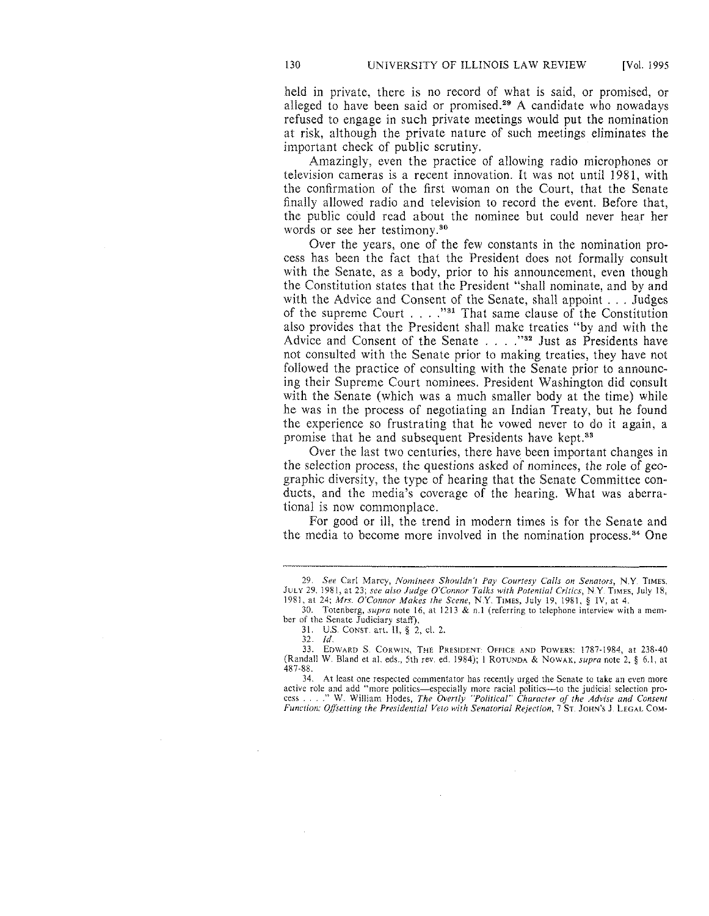held in private, there is no record of what is said, or promised, or alleged to have been said or promised.<sup>29</sup> A candidate who nowadays refused to engage in such private meetings would put the nomination at risk, although the private nature of such meetings eliminates the important check of public scrutiny.

Amazingly, even the practice of allowing radio microphones or television cameras is a recent innovation. It was not until 1981, with the confirmation of the first woman on the Court, that the Senate finally allowed radio and television to record the event. Before that, the public could read about the nominee but could never hear her words or see her testimony.<sup>30</sup>

Over the years, one of the few constants in the nomination process has been the fact that the President does not formally consult with the Senate, as a body, prior to his announcement, even though the Constitution states that the President "shall nominate, and by and with the Advice and Consent of the Senate, shall appoint ... Judges of the supreme Court  $\dots$ . "<sup>31</sup> That same clause of the Constitution also provides that the President shall make treaties "by and with the Advice and Consent of the Senate . . . . "<sup>32</sup> Just as Presidents have not consulted with the Senate prior to making treaties, they have not followed the practice of consulting with the Senate prior to announcing their Supreme Court nominees. President Washington did consult with the Senate (which was a much smaller body at the time) while he was in the process of negotiating an Indian Treaty, but he found the experience so frustrating that he vowed never to do it again, a promise that he and subsequent Presidents have kept.<sup>33</sup>

Over the last two centuries, there have been important changes in the selection process, the questions asked of nominees, the role of geographic diversity, the type of hearing that the Senate Committee conducts, and the media's coverage of the hearing. What was aberrational is now commonplace.

For good or ill, the trend in modern times is for the Senate and the media to become more involved in the nomination process. 34 One

30. Totenberg, *supra* note 16, at 1213 & n.l (referring to telephone interview with a member of the Senate Judiciary staff).

<sup>29.</sup> *See* Car! Marcy, *Nominees Shouldn't Pay Courtesy Calls on Senators,* N.Y. TIMES. JULY 29. 1981, at 23; *see also Judge O'Connor Talks with Potential Critics,* N.Y. TIMES, July 18, 1981, at 24; *Mrs. O'Connor Makes the Scene,* N.Y TIMES, July 19, 1981, § IV, at 4.

<sup>31.</sup> U.S. CONST. art. II,§ 2, cl. 2.

<sup>32.</sup> *!d.* 

<sup>33.</sup> EDWARD S. CORWIN, THE PRESIDENT: OFFICE AND POWERS: 1787-1984, at 238-40 (Randall W. Bland et al. eds., 5th rev. ed. 1984); l RoTUNDA & NOWAK, *supra* note 2, § 6.1, at 487-88.

<sup>34.</sup> At least one respected commentator has recently urged the Senate to take an even more active role and add "more politics—especially more racial politics—to the judicial selection pro-<br>cess . . . ." W. William Hodes, *The Overtly "Political" Character of the Advise and Consent Function: Offsetting the Presidential Veto with Senatorial Rejection,* 7 Sr. JOHN's J. LEGAL COM-